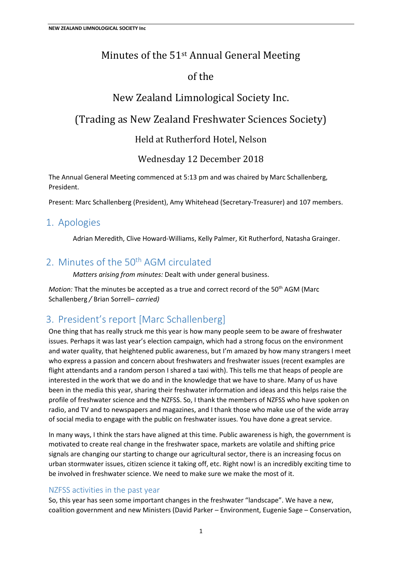## Minutes of the 51st Annual General Meeting

## of the

# New Zealand Limnological Society Inc.

## (Trading as New Zealand Freshwater Sciences Society)

Held at Rutherford Hotel, Nelson

Wednesday 12 December 2018

The Annual General Meeting commenced at 5:13 pm and was chaired by Marc Schallenberg, President.

Present: Marc Schallenberg (President), Amy Whitehead (Secretary-Treasurer) and 107 members.

## 1. Apologies

Adrian Meredith, Clive Howard-Williams, Kelly Palmer, Kit Rutherford, Natasha Grainger.

## 2. Minutes of the 50<sup>th</sup> AGM circulated

*Matters arising from minutes:* Dealt with under general business.

*Motion:* That the minutes be accepted as a true and correct record of the 50<sup>th</sup> AGM (Marc Schallenberg */* Brian Sorrell*– carried)*

# 3. President's report [Marc Schallenberg]

One thing that has really struck me this year is how many people seem to be aware of freshwater issues. Perhaps it was last year's election campaign, which had a strong focus on the environment and water quality, that heightened public awareness, but I'm amazed by how many strangers I meet who express a passion and concern about freshwaters and freshwater issues (recent examples are flight attendants and a random person I shared a taxi with). This tells me that heaps of people are interested in the work that we do and in the knowledge that we have to share. Many of us have been in the media this year, sharing their freshwater information and ideas and this helps raise the profile of freshwater science and the NZFSS. So, I thank the members of NZFSS who have spoken on radio, and TV and to newspapers and magazines, and I thank those who make use of the wide array of social media to engage with the public on freshwater issues. You have done a great service.

In many ways, I think the stars have aligned at this time. Public awareness is high, the government is motivated to create real change in the freshwater space, markets are volatile and shifting price signals are changing our starting to change our agricultural sector, there is an increasing focus on urban stormwater issues, citizen science it taking off, etc. Right now! is an incredibly exciting time to be involved in freshwater science. We need to make sure we make the most of it.

### NZFSS activities in the past year

So, this year has seen some important changes in the freshwater "landscape". We have a new, coalition government and new Ministers (David Parker – Environment, Eugenie Sage – Conservation,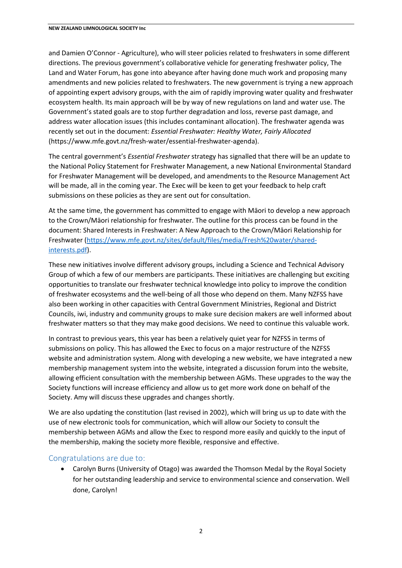and Damien O'Connor - Agriculture), who will steer policies related to freshwaters in some different directions. The previous government's collaborative vehicle for generating freshwater policy, The Land and Water Forum, has gone into abeyance after having done much work and proposing many amendments and new policies related to freshwaters. The new government is trying a new approach of appointing expert advisory groups, with the aim of rapidly improving water quality and freshwater ecosystem health. Its main approach will be by way of new regulations on land and water use. The Government's stated goals are to stop further degradation and loss, reverse past damage, and address water allocation issues (this includes contaminant allocation). The freshwater agenda was recently set out in the document: *Essential Freshwater: Healthy Water, Fairly Allocated* (https://www.mfe.govt.nz/fresh-water/essential-freshwater-agenda).

The central government's *Essential Freshwater* strategy has signalled that there will be an update to the National Policy Statement for Freshwater Management, a new National Environmental Standard for Freshwater Management will be developed, and amendments to the Resource Management Act will be made, all in the coming year. The Exec will be keen to get your feedback to help craft submissions on these policies as they are sent out for consultation.

At the same time, the government has committed to engage with Māori to develop a new approach to the Crown/Māori relationship for freshwater. The outline for this process can be found in the document: Shared Interests in Freshwater: A New Approach to the Crown/Māori Relationship for Freshwater (https://www.mfe.govt.nz/sites/default/files/media/Fresh%20water/sharedinterests.pdf).

These new initiatives involve different advisory groups, including a Science and Technical Advisory Group of which a few of our members are participants. These initiatives are challenging but exciting opportunities to translate our freshwater technical knowledge into policy to improve the condition of freshwater ecosystems and the well-being of all those who depend on them. Many NZFSS have also been working in other capacities with Central Government Ministries, Regional and District Councils, iwi, industry and community groups to make sure decision makers are well informed about freshwater matters so that they may make good decisions. We need to continue this valuable work.

In contrast to previous years, this year has been a relatively quiet year for NZFSS in terms of submissions on policy. This has allowed the Exec to focus on a major restructure of the NZFSS website and administration system. Along with developing a new website, we have integrated a new membership management system into the website, integrated a discussion forum into the website, allowing efficient consultation with the membership between AGMs. These upgrades to the way the Society functions will increase efficiency and allow us to get more work done on behalf of the Society. Amy will discuss these upgrades and changes shortly.

We are also updating the constitution (last revised in 2002), which will bring us up to date with the use of new electronic tools for communication, which will allow our Society to consult the membership between AGMs and allow the Exec to respond more easily and quickly to the input of the membership, making the society more flexible, responsive and effective.

#### Congratulations are due to:

 Carolyn Burns (University of Otago) was awarded the Thomson Medal by the Royal Society for her outstanding leadership and service to environmental science and conservation. Well done, Carolyn!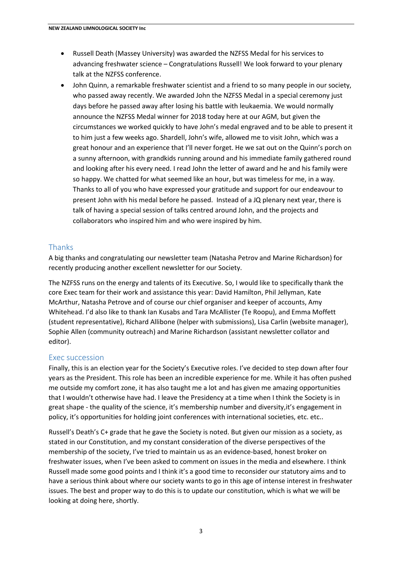- Russell Death (Massey University) was awarded the NZFSS Medal for his services to advancing freshwater science – Congratulations Russell! We look forward to your plenary talk at the NZFSS conference.
- John Quinn, a remarkable freshwater scientist and a friend to so many people in our society, who passed away recently. We awarded John the NZFSS Medal in a special ceremony just days before he passed away after losing his battle with leukaemia. We would normally announce the NZFSS Medal winner for 2018 today here at our AGM, but given the circumstances we worked quickly to have John's medal engraved and to be able to present it to him just a few weeks ago. Shardell, John's wife, allowed me to visit John, which was a great honour and an experience that I'll never forget. He we sat out on the Quinn's porch on a sunny afternoon, with grandkids running around and his immediate family gathered round and looking after his every need. I read John the letter of award and he and his family were so happy. We chatted for what seemed like an hour, but was timeless for me, in a way. Thanks to all of you who have expressed your gratitude and support for our endeavour to present John with his medal before he passed. Instead of a JQ plenary next year, there is talk of having a special session of talks centred around John, and the projects and collaborators who inspired him and who were inspired by him.

#### Thanks

A big thanks and congratulating our newsletter team (Natasha Petrov and Marine Richardson) for recently producing another excellent newsletter for our Society.

The NZFSS runs on the energy and talents of its Executive. So, I would like to specifically thank the core Exec team for their work and assistance this year: David Hamilton, Phil Jellyman, Kate McArthur, Natasha Petrove and of course our chief organiser and keeper of accounts, Amy Whitehead. I'd also like to thank Ian Kusabs and Tara McAllister (Te Roopu), and Emma Moffett (student representative), Richard Allibone (helper with submissions), Lisa Carlin (website manager), Sophie Allen (community outreach) and Marine Richardson (assistant newsletter collator and editor).

#### Exec succession

Finally, this is an election year for the Society's Executive roles. I've decided to step down after four years as the President. This role has been an incredible experience for me. While it has often pushed me outside my comfort zone, it has also taught me a lot and has given me amazing opportunities that I wouldn't otherwise have had. I leave the Presidency at a time when I think the Society is in great shape - the quality of the science, it's membership number and diversity,it's engagement in policy, it's opportunities for holding joint conferences with international societies, etc. etc..

Russell's Death's C+ grade that he gave the Society is noted. But given our mission as a society, as stated in our Constitution, and my constant consideration of the diverse perspectives of the membership of the society, I've tried to maintain us as an evidence-based, honest broker on freshwater issues, when I've been asked to comment on issues in the media and elsewhere. I think Russell made some good points and I think it's a good time to reconsider our statutory aims and to have a serious think about where our society wants to go in this age of intense interest in freshwater issues. The best and proper way to do this is to update our constitution, which is what we will be looking at doing here, shortly.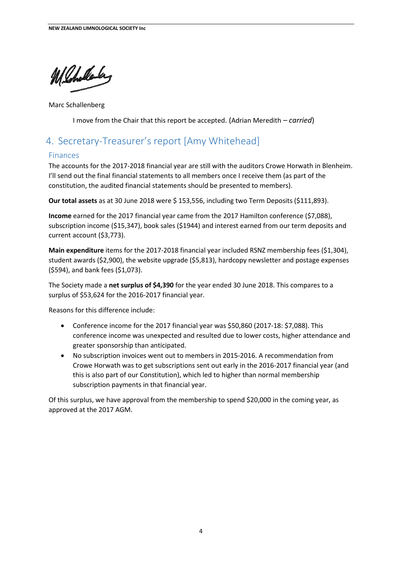Whilely

Marc Schallenberg

I move from the Chair that this report be accepted. (Adrian Meredith *– carried*)

# 4. Secretary-Treasurer's report [Amy Whitehead]

#### Finances

The accounts for the 2017-2018 financial year are still with the auditors Crowe Horwath in Blenheim. I'll send out the final financial statements to all members once I receive them (as part of the constitution, the audited financial statements should be presented to members).

**Our total assets** as at 30 June 2018 were \$ 153,556, including two Term Deposits (\$111,893).

**Income** earned for the 2017 financial year came from the 2017 Hamilton conference (\$7,088), subscription income (\$15,347), book sales (\$1944) and interest earned from our term deposits and current account (\$3,773).

**Main expenditure** items for the 2017-2018 financial year included RSNZ membership fees (\$1,304), student awards (\$2,900), the website upgrade (\$5,813), hardcopy newsletter and postage expenses (\$594), and bank fees (\$1,073).

The Society made a **net surplus of \$4,390** for the year ended 30 June 2018. This compares to a surplus of \$53,624 for the 2016-2017 financial year.

Reasons for this difference include:

- Conference income for the 2017 financial year was \$50,860 (2017-18: \$7,088). This conference income was unexpected and resulted due to lower costs, higher attendance and greater sponsorship than anticipated.
- No subscription invoices went out to members in 2015-2016. A recommendation from Crowe Horwath was to get subscriptions sent out early in the 2016-2017 financial year (and this is also part of our Constitution), which led to higher than normal membership subscription payments in that financial year.

Of this surplus, we have approval from the membership to spend \$20,000 in the coming year, as approved at the 2017 AGM.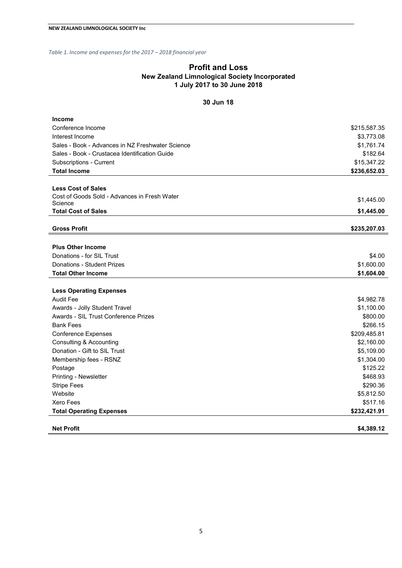*Table 1. Income and expenses for the 2017 – 2018 financial year*

#### **Profit and Loss New Zealand Limnological Society Incorporated 1 July 2017 to 30 June 2018**

#### **30 Jun 18**

| <b>Income</b>                                    |              |
|--------------------------------------------------|--------------|
| Conference Income                                | \$215,587.35 |
| Interest Income                                  | \$3,773.08   |
| Sales - Book - Advances in NZ Freshwater Science | \$1,761.74   |
| Sales - Book - Crustacea Identification Guide    | \$182.64     |
| Subscriptions - Current                          | \$15,347.22  |
| <b>Total Income</b>                              | \$236,652.03 |
|                                                  |              |
| <b>Less Cost of Sales</b>                        |              |
| Cost of Goods Sold - Advances in Fresh Water     | \$1,445.00   |
| Science<br><b>Total Cost of Sales</b>            |              |
|                                                  | \$1,445.00   |
| <b>Gross Profit</b>                              | \$235,207.03 |
|                                                  |              |
| <b>Plus Other Income</b>                         |              |
| Donations - for SIL Trust                        | \$4.00       |
| Donations - Student Prizes                       | \$1,600.00   |
| <b>Total Other Income</b>                        | \$1,604.00   |
|                                                  |              |
| <b>Less Operating Expenses</b>                   |              |
| <b>Audit Fee</b>                                 | \$4,982.78   |
| Awards - Jolly Student Travel                    | \$1,100.00   |
| Awards - SIL Trust Conference Prizes             | \$800.00     |
| <b>Bank Fees</b>                                 | \$266.15     |
| <b>Conference Expenses</b>                       | \$209,485.81 |
| <b>Consulting &amp; Accounting</b>               | \$2,160.00   |
| Donation - Gift to SIL Trust                     | \$5,109.00   |
| Membership fees - RSNZ                           | \$1,304.00   |
| Postage                                          | \$125.22     |
| Printing - Newsletter                            | \$468.93     |
| <b>Stripe Fees</b>                               | \$290.36     |
| Website                                          | \$5,812.50   |
| Xero Fees                                        | \$517.16     |
| <b>Total Operating Expenses</b>                  | \$232,421.91 |
|                                                  |              |
| <b>Net Profit</b>                                | \$4.389.12   |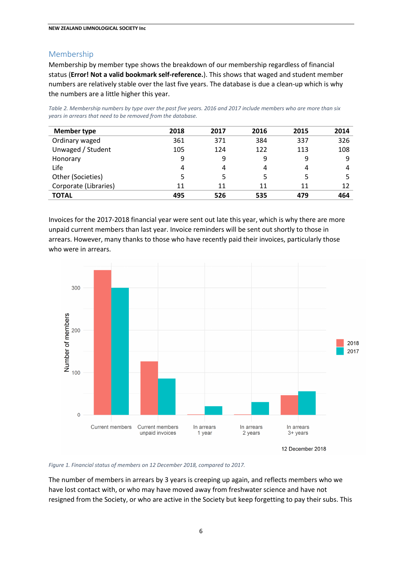#### Membership

Membership by member type shows the breakdown of our membership regardless of financial status (**Error! Not a valid bookmark self-reference.**). This shows that waged and student member numbers are relatively stable over the last five years. The database is due a clean-up which is why the numbers are a little higher this year.

*Table 2. Membership numbers by type over the past five years. 2016 and 2017 include members who are more than six years in arrears that need to be removed from the database.*

| <b>Member type</b>    | 2018 | 2017 | 2016 | 2015 | 2014 |
|-----------------------|------|------|------|------|------|
| Ordinary waged        | 361  | 371  | 384  | 337  | 326  |
| Unwaged / Student     | 105  | 124  | 122  | 113  | 108  |
| Honorary              | 9    | 9    | 9    | 9    | 9    |
| Life                  | 4    | 4    | 4    | 4    | 4    |
| Other (Societies)     | 5    | 5    | 5    |      |      |
| Corporate (Libraries) | 11   | 11   | 11   | 11   | 12   |
| <b>TOTAL</b>          | 495  | 526  | 535  | 479  | 464  |

Invoices for the 2017-2018 financial year were sent out late this year, which is why there are more unpaid current members than last year. Invoice reminders will be sent out shortly to those in arrears. However, many thanks to those who have recently paid their invoices, particularly those who were in arrears.



*Figure 1. Financial status of members on 12 December 2018, compared to 2017.*

The number of members in arrears by 3 years is creeping up again, and reflects members who we have lost contact with, or who may have moved away from freshwater science and have not resigned from the Society, or who are active in the Society but keep forgetting to pay their subs. This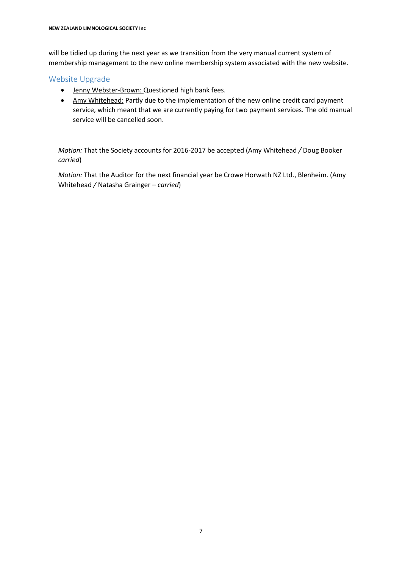will be tidied up during the next year as we transition from the very manual current system of membership management to the new online membership system associated with the new website.

#### Website Upgrade

- Jenny Webster-Brown: Questioned high bank fees.
- Amy Whitehead: Partly due to the implementation of the new online credit card payment service, which meant that we are currently paying for two payment services. The old manual service will be cancelled soon.

*Motion:* That the Society accounts for 2016-2017 be accepted (Amy Whitehead */* Doug Booker *carried*)

*Motion:* That the Auditor for the next financial year be Crowe Horwath NZ Ltd., Blenheim. (Amy Whitehead */* Natasha Grainger *– carried*)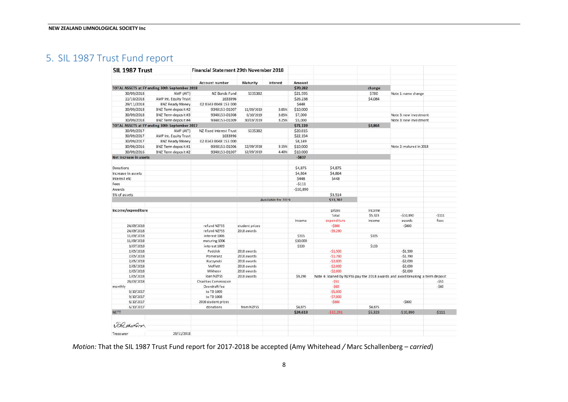# 5. SIL 1987 Trust Fund report

| SIL 1987 Trust         |                                               | Financial Statement 29th November 2018 |                 |                    |            |                                                                               |         |                         |         |
|------------------------|-----------------------------------------------|----------------------------------------|-----------------|--------------------|------------|-------------------------------------------------------------------------------|---------|-------------------------|---------|
|                        |                                               | <b>Account number</b>                  | <b>Maturity</b> | Interest           | Amount     |                                                                               |         |                         |         |
|                        | TOTAL ASSETS at FY ending 30th September 2018 |                                        |                 |                    | \$70,282   |                                                                               | change  |                         |         |
| 30/09/2018             | AMP (AIT)                                     | NZ Bonds Fund                          | \$335382        |                    | \$21,595   |                                                                               | \$780   | Note 1: name change     |         |
| 11/10/2018             | <b>AMP Int. Equity Trust</b>                  | 1633996                                |                 |                    | \$26,238   |                                                                               | \$4,084 |                         |         |
| 29/11/2018             | <b>BNZ Ready Money</b>                        | 02 0343 0048 153 000                   |                 |                    | \$448      |                                                                               |         |                         |         |
| 30/09/2018             | BNZ Term deposit #2                           | 9348153-01007                          | 11/09/2019      | 3.85%              | \$10,000   |                                                                               |         |                         |         |
| 30/09/2018             | BNZ Term deposit #3                           | 9348153-01008                          | 6/10/2019       | 3.85%              | \$7,000    |                                                                               |         | Note 3: new investment  |         |
| 30/09/2018             | BNZ Term deposit #4                           | 9348153-01009                          | 30/03/2019      | 3.25%              | \$5,000    |                                                                               |         | Note 3: new investment  |         |
|                        | TOTAL ASSETS at FY ending 30th September 2017 |                                        |                 |                    | \$71,119   |                                                                               | \$4,864 |                         |         |
| 30/09/2017             | AMP (AIT)                                     | NZ Fixed Interest Trust                | 5335382         |                    | \$20,815   |                                                                               |         |                         |         |
| 30/09/2017             | AMP Int. Equity Trust                         | 1633996                                |                 |                    | \$22,154   |                                                                               |         |                         |         |
|                        |                                               |                                        |                 |                    | \$8,149    |                                                                               |         |                         |         |
| 30/09/2017             | <b>BNZ Ready Money</b>                        | 02 0343 0048 153 000                   |                 |                    |            |                                                                               |         |                         |         |
| 30/09/2016             | BNZ Term deposit #1                           | 9348153-01006                          | 12/09/2018      | 3.15%              | \$10,000   |                                                                               |         | Note 2: matured in 2018 |         |
| 30/09/2016             | BNZ Term deposit #2                           | 9348153-01007                          | 12/09/2019      | 4.40%              | \$10,000   |                                                                               |         |                         |         |
| Net increase in assets |                                               |                                        |                 |                    | $-5837$    |                                                                               |         |                         |         |
|                        |                                               |                                        |                 |                    |            | \$4,875                                                                       |         |                         |         |
| Donations              |                                               |                                        |                 |                    | \$4,875    |                                                                               |         |                         |         |
| Increase in assets     |                                               |                                        |                 |                    | \$4,864    | \$4,864                                                                       |         |                         |         |
| Interest etc           |                                               |                                        |                 |                    | \$448      | \$448                                                                         |         |                         |         |
| Fees                   |                                               |                                        |                 |                    | $-5111$    |                                                                               |         |                         |         |
| Awards                 |                                               |                                        |                 |                    | $-$10,890$ |                                                                               |         |                         |         |
| 5% of assets           |                                               |                                        |                 |                    |            | \$3,514                                                                       |         |                         |         |
|                        |                                               |                                        |                 | Available for 2019 |            | \$13,702                                                                      |         |                         |         |
| Income/expenditure     |                                               |                                        |                 |                    |            | prizes                                                                        | income  |                         |         |
|                        |                                               |                                        |                 |                    |            | Total                                                                         | \$5,323 | $-510,890$              | $-5111$ |
|                        |                                               |                                        |                 |                    | income     | expenditure                                                                   | income  | awards                  | fees    |
| 24/09/2018             |                                               | refund NZFSS                           | student prizes  |                    |            | $-5800$                                                                       |         | $-5800$                 |         |
| 24/09/2018             |                                               | refund NZFSS                           | 2018 awards     |                    |            | $-59,290$                                                                     |         |                         |         |
| 11/09/2018             |                                               | interest 1006                          |                 |                    | \$315      |                                                                               | \$315   |                         |         |
| 11/09/2018             |                                               | maturing 1006                          |                 |                    | \$10,000   |                                                                               |         |                         |         |
| 3/07/2018              |                                               | interest 1009                          |                 |                    | \$133      |                                                                               | \$133   |                         |         |
| 2/05/2018              |                                               | Puddick                                | 2018 awards     |                    |            | $-51,500$                                                                     |         | $-51,500$               |         |
| 2/05/2018              |                                               | Pomeranz                               | 2018 awards     |                    |            | $-51,790$                                                                     |         | $-51,790$               |         |
| 2/05/2018              |                                               | Kuczynski                              | 2018 awards     |                    |            | $-52,000$                                                                     |         | $-52,000$               |         |
| 2/05/2018              |                                               | Moffett                                | 2018 awards     |                    |            | $-52,000$                                                                     |         | $-52,000$               |         |
| 2/05/2018              |                                               | Mikheev                                | 2018 awards     |                    |            | $-52,000$                                                                     |         | $-52,000$               |         |
| 1/05/2018              |                                               | loan NZFSS                             | 2018 awards     |                    | \$9,290    | Note 4: loaned by NZFSS pay the 2018 awards and avoid breaking a term deposit |         |                         |         |
| 28/03/2018             |                                               | <b>Charities Commission</b>            |                 |                    |            | $-551$                                                                        |         |                         | $-551$  |
| monthly                |                                               | Overdraft fee                          |                 |                    |            | $-560$                                                                        |         |                         | $-560$  |
| 9/10/2017              |                                               | to TD 1009                             |                 |                    |            | $-55,000$                                                                     |         |                         |         |
| 9/10/2017              |                                               | to TD 1008                             |                 |                    |            | $-57,000$                                                                     |         |                         |         |
| 6/10/2017              |                                               | 2016 student prizes                    |                 |                    |            | $-$ \$800                                                                     |         | $-5800$                 |         |
| 6/10/2017              |                                               | donations                              | from NZFSS      |                    | \$4,875    |                                                                               | \$4,875 |                         |         |
| <b>NETT</b>            |                                               |                                        |                 |                    | \$24,613   | $-532,291$                                                                    | \$5,323 | $-510,890$              | $-5111$ |
|                        |                                               |                                        |                 |                    |            |                                                                               |         |                         |         |
| <b>Jahrenson</b>       |                                               |                                        |                 |                    |            |                                                                               |         |                         |         |
| Treasurer              | 29/11/2018                                    |                                        |                 |                    |            |                                                                               |         |                         |         |

*Motion:* That the SIL 1987 Trust Fund report for 2017-2018 be accepted (Amy Whitehead */* Marc Schallenberg *– carried*)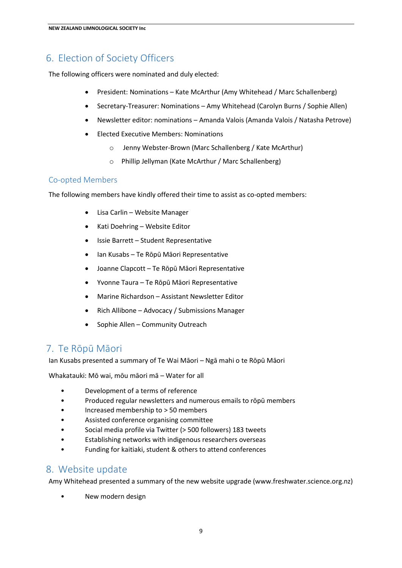## 6. Election of Society Officers

The following officers were nominated and duly elected:

- President: Nominations Kate McArthur (Amy Whitehead / Marc Schallenberg)
- Secretary-Treasurer: Nominations Amy Whitehead (Carolyn Burns / Sophie Allen)
- Newsletter editor: nominations Amanda Valois (Amanda Valois / Natasha Petrove)
- Elected Executive Members: Nominations
	- o Jenny Webster-Brown (Marc Schallenberg / Kate McArthur)
	- o Phillip Jellyman (Kate McArthur / Marc Schallenberg)

#### Co-opted Members

The following members have kindly offered their time to assist as co-opted members:

- Lisa Carlin Website Manager
- Kati Doehring Website Editor
- Issie Barrett Student Representative
- Ian Kusabs Te Rōpū Māori Representative
- Joanne Clapcott Te Rōpū Māori Representative
- Yvonne Taura Te Rōpū Māori Representative
- Marine Richardson Assistant Newsletter Editor
- Rich Allibone Advocacy / Submissions Manager
- Sophie Allen Community Outreach

## 7. Te Rōpū Māori

Ian Kusabs presented a summary of Te Wai Māori – Ngā mahi o te Rōpū Māori

Whakatauki: Mō wai, mōu māori mā – Water for all

- Development of a terms of reference
- Produced regular newsletters and numerous emails to rōpū members
- Increased membership to > 50 members
- Assisted conference organising committee
- Social media profile via Twitter (> 500 followers) 183 tweets
- Establishing networks with indigenous researchers overseas
- Funding for kaitiaki, student & others to attend conferences

### 8. Website update

Amy Whitehead presented a summary of the new website upgrade (www.freshwater.science.org.nz)

• New modern design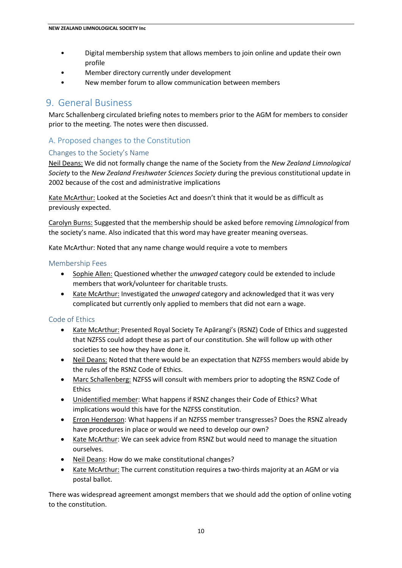- Digital membership system that allows members to join online and update their own profile
- Member directory currently under development
- New member forum to allow communication between members

## 9. General Business

Marc Schallenberg circulated briefing notes to members prior to the AGM for members to consider prior to the meeting. The notes were then discussed.

### A. Proposed changes to the Constitution

#### Changes to the Society's Name

Neil Deans: We did not formally change the name of the Society from the *New Zealand Limnological Society* to the *New Zealand Freshwater Sciences Society* during the previous constitutional update in 2002 because of the cost and administrative implications

Kate McArthur: Looked at the Societies Act and doesn't think that it would be as difficult as previously expected.

Carolyn Burns: Suggested that the membership should be asked before removing *Limnological* from the society's name. Also indicated that this word may have greater meaning overseas.

Kate McArthur: Noted that any name change would require a vote to members

#### Membership Fees

- Sophie Allen: Questioned whether the *unwaged* category could be extended to include members that work/volunteer for charitable trusts.
- Kate McArthur: Investigated the *unwaged* category and acknowledged that it was very complicated but currently only applied to members that did not earn a wage.

#### Code of Ethics

- Kate McArthur: Presented Royal Society Te Apārangi's (RSNZ) Code of Ethics and suggested that NZFSS could adopt these as part of our constitution. She will follow up with other societies to see how they have done it.
- Neil Deans: Noted that there would be an expectation that NZFSS members would abide by the rules of the RSNZ Code of Ethics.
- Marc Schallenberg: NZFSS will consult with members prior to adopting the RSNZ Code of Ethics
- Unidentified member: What happens if RSNZ changes their Code of Ethics? What implications would this have for the NZFSS constitution.
- Erron Henderson: What happens if an NZFSS member transgresses? Does the RSNZ already have procedures in place or would we need to develop our own?
- Kate McArthur: We can seek advice from RSNZ but would need to manage the situation ourselves.
- Neil Deans: How do we make constitutional changes?
- Kate McArthur: The current constitution requires a two-thirds majority at an AGM or via postal ballot.

There was widespread agreement amongst members that we should add the option of online voting to the constitution.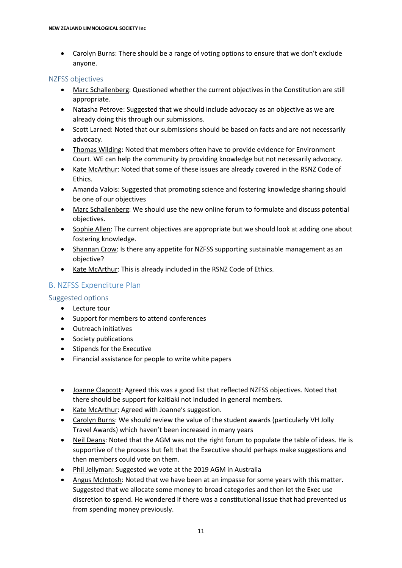Carolyn Burns: There should be a range of voting options to ensure that we don't exclude anyone.

#### NZFSS objectives

- Marc Schallenberg: Questioned whether the current objectives in the Constitution are still appropriate.
- Natasha Petrove: Suggested that we should include advocacy as an objective as we are already doing this through our submissions.
- Scott Larned: Noted that our submissions should be based on facts and are not necessarily advocacy.
- Thomas Wilding: Noted that members often have to provide evidence for Environment Court. WE can help the community by providing knowledge but not necessarily advocacy.
- Kate McArthur: Noted that some of these issues are already covered in the RSNZ Code of Ethics.
- Amanda Valois: Suggested that promoting science and fostering knowledge sharing should be one of our objectives
- Marc Schallenberg: We should use the new online forum to formulate and discuss potential objectives.
- Sophie Allen: The current objectives are appropriate but we should look at adding one about fostering knowledge.
- Shannan Crow: Is there any appetite for NZFSS supporting sustainable management as an objective?
- Kate McArthur: This is already included in the RSNZ Code of Ethics.

### B. NZFSS Expenditure Plan

#### Suggested options

- Lecture tour
- Support for members to attend conferences
- Outreach initiatives
- Society publications
- Stipends for the Executive
- Financial assistance for people to write white papers
- Joanne Clapcott: Agreed this was a good list that reflected NZFSS objectives. Noted that there should be support for kaitiaki not included in general members.
- Kate McArthur: Agreed with Joanne's suggestion.
- Carolyn Burns: We should review the value of the student awards (particularly VH Jolly Travel Awards) which haven't been increased in many years
- Neil Deans: Noted that the AGM was not the right forum to populate the table of ideas. He is supportive of the process but felt that the Executive should perhaps make suggestions and then members could vote on them.
- Phil Jellyman: Suggested we vote at the 2019 AGM in Australia
- Angus McIntosh: Noted that we have been at an impasse for some years with this matter. Suggested that we allocate some money to broad categories and then let the Exec use discretion to spend. He wondered if there was a constitutional issue that had prevented us from spending money previously.